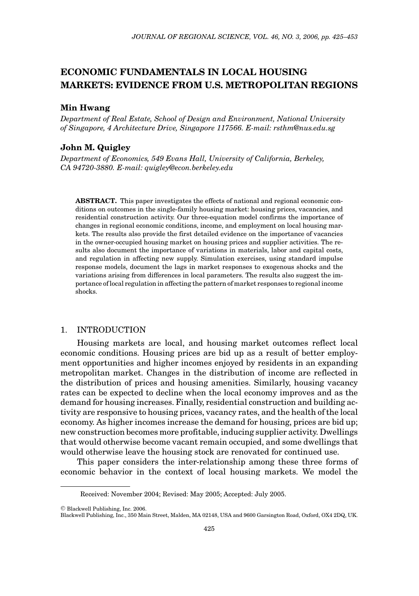# **ECONOMIC FUNDAMENTALS IN LOCAL HOUSING MARKETS: EVIDENCE FROM U.S. METROPOLITAN REGIONS**

### **Min Hwang**

*Department of Real Estate, School of Design and Environment, National University of Singapore, 4 Architecture Drive, Singapore 117566. E-mail: rsthm@nus.edu.sg*

# **John M. Quigley**

*Department of Economics, 549 Evans Hall, University of California, Berkeley, CA 94720-3880. E-mail: quigley@econ.berkeley.edu*

**ABSTRACT.** This paper investigates the effects of national and regional economic conditions on outcomes in the single-family housing market: housing prices, vacancies, and residential construction activity. Our three-equation model confirms the importance of changes in regional economic conditions, income, and employment on local housing markets. The results also provide the first detailed evidence on the importance of vacancies in the owner-occupied housing market on housing prices and supplier activities. The results also document the importance of variations in materials, labor and capital costs, and regulation in affecting new supply. Simulation exercises, using standard impulse response models, document the lags in market responses to exogenous shocks and the variations arising from differences in local parameters. The results also suggest the importance of local regulation in affecting the pattern of market responses to regional income shocks.

# 1. INTRODUCTION

Housing markets are local, and housing market outcomes reflect local economic conditions. Housing prices are bid up as a result of better employment opportunities and higher incomes enjoyed by residents in an expanding metropolitan market. Changes in the distribution of income are reflected in the distribution of prices and housing amenities. Similarly, housing vacancy rates can be expected to decline when the local economy improves and as the demand for housing increases. Finally, residential construction and building activity are responsive to housing prices, vacancy rates, and the health of the local economy. As higher incomes increase the demand for housing, prices are bid up; new construction becomes more profitable, inducing supplier activity. Dwellings that would otherwise become vacant remain occupied, and some dwellings that would otherwise leave the housing stock are renovated for continued use.

This paper considers the inter-relationship among these three forms of economic behavior in the context of local housing markets. We model the

Received: November 2004; Revised: May 2005; Accepted: July 2005.

<sup>-</sup><sup>C</sup> Blackwell Publishing, Inc. 2006.

Blackwell Publishing, Inc., 350 Main Street, Malden, MA 02148, USA and 9600 Garsington Road, Oxford, OX4 2DQ, UK.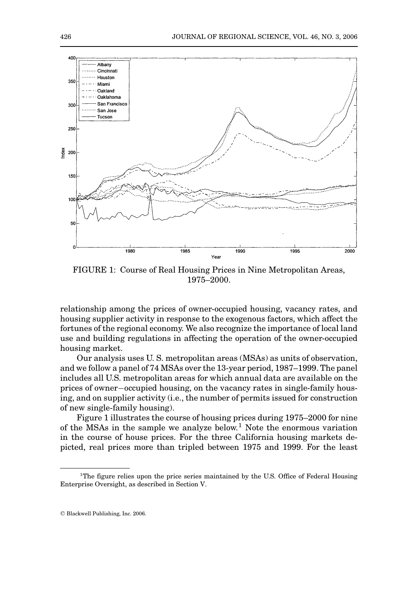

FIGURE 1: Course of Real Housing Prices in Nine Metropolitan Areas, 1975–2000.

relationship among the prices of owner-occupied housing, vacancy rates, and housing supplier activity in response to the exogenous factors, which affect the fortunes of the regional economy. We also recognize the importance of local land use and building regulations in affecting the operation of the owner-occupied housing market.

Our analysis uses U. S. metropolitan areas (MSAs) as units of observation, and we follow a panel of 74 MSAs over the 13-year period, 1987–1999. The panel includes all U.S. metropolitan areas for which annual data are available on the prices of owner−occupied housing, on the vacancy rates in single-family housing, and on supplier activity (i.e., the number of permits issued for construction of new single-family housing).

Figure 1 illustrates the course of housing prices during 1975–2000 for nine of the MSAs in the sample we analyze below.<sup>1</sup> Note the enormous variation in the course of house prices. For the three California housing markets depicted, real prices more than tripled between 1975 and 1999. For the least

<sup>&</sup>lt;sup>1</sup>The figure relies upon the price series maintained by the U.S. Office of Federal Housing Enterprise Oversight, as described in Section V.

<sup>-</sup><sup>C</sup> Blackwell Publishing, Inc. 2006.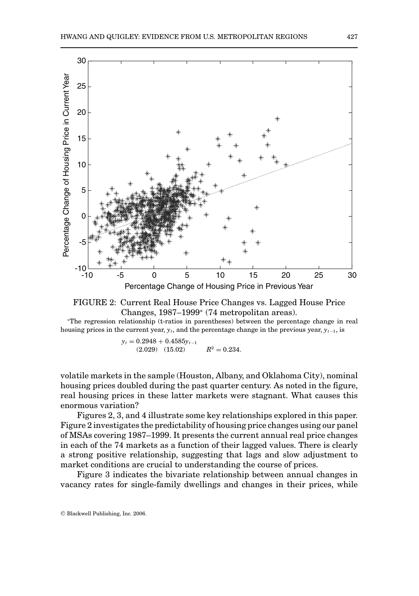



<sup>∗</sup>The regression relationship (t-ratios in parentheses) between the percentage change in real housing prices in the current year,  $y_t$ , and the percentage change in the previous year,  $y_{t-1}$ , is

> $y_t = 0.2948 + 0.4585y_{t-1}$  $(2.029)$   $(15.02)$   $R^2 = 0.234$ .

volatile markets in the sample (Houston, Albany, and Oklahoma City), nominal housing prices doubled during the past quarter century. As noted in the figure, real housing prices in these latter markets were stagnant. What causes this enormous variation?

Figures 2, 3, and 4 illustrate some key relationships explored in this paper. Figure 2 investigates the predictability of housing price changes using our panel of MSAs covering 1987–1999. It presents the current annual real price changes in each of the 74 markets as a function of their lagged values. There is clearly a strong positive relationship, suggesting that lags and slow adjustment to market conditions are crucial to understanding the course of prices.

Figure 3 indicates the bivariate relationship between annual changes in vacancy rates for single-family dwellings and changes in their prices, while

<sup>-</sup><sup>C</sup> Blackwell Publishing, Inc. 2006.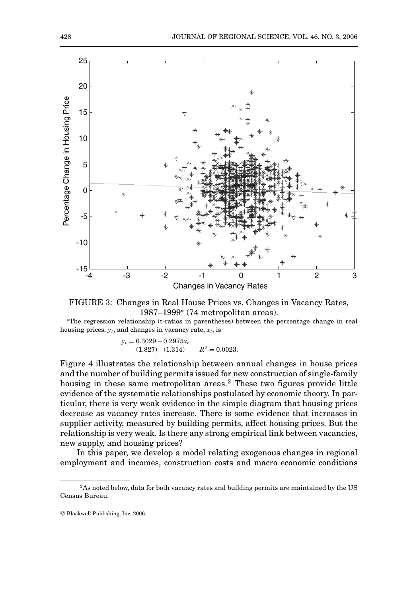

FIGURE 3: Changes in Real House Prices vs. Changes in Vacancy Rates, 1987–1999<sup>∗</sup> (74 metropolitan areas).

<sup>∗</sup>The regression relationship (t-ratios in parentheses) between the percentage change in real housing prices,  $y_t$ , and changes in vacancy rate,  $x_t$ , is

$$
y_t = 0.3029 - 0.2975x_t
$$
  
(1.827) (1.314)  $R^2 = 0.0023$ .

Figure 4 illustrates the relationship between annual changes in house prices and the number of building permits issued for new construction of single-family housing in these same metropolitan areas.<sup>2</sup> These two figures provide little evidence of the systematic relationships postulated by economic theory. In particular, there is very weak evidence in the simple diagram that housing prices decrease as vacancy rates increase. There is some evidence that increases in supplier activity, measured by building permits, affect housing prices. But the relationship is very weak. Is there any strong empirical link between vacancies, new supply, and housing prices?

In this paper, we develop a model relating exogenous changes in regional employment and incomes, construction costs and macro economic conditions

<sup>2</sup>As noted below, data for both vacancy rates and building permits are maintained by the US Census Bureau.

<sup>-</sup><sup>C</sup> Blackwell Publishing, Inc. 2006.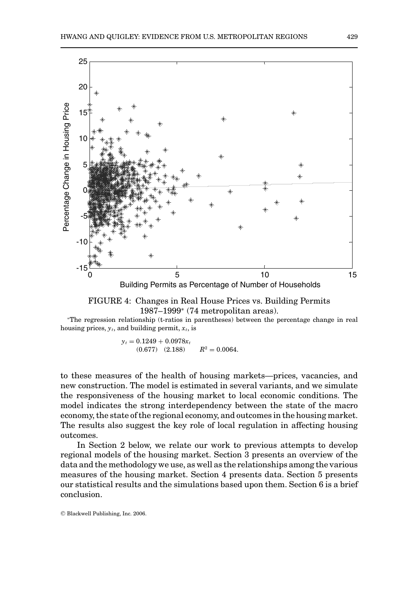

FIGURE 4: Changes in Real House Prices vs. Building Permits 1987–1999<sup>∗</sup> (74 metropolitan areas).

<sup>∗</sup>The regression relationship (t-ratios in parentheses) between the percentage change in real housing prices,  $y_t$ , and building permit,  $x_t$ , is

> $y_t = 0.1249 + 0.0978x_t$  $(0.677)$   $(2.188)$   $R^2 = 0.0064$ .

to these measures of the health of housing markets—prices, vacancies, and new construction. The model is estimated in several variants, and we simulate the responsiveness of the housing market to local economic conditions. The model indicates the strong interdependency between the state of the macro economy, the state of the regional economy, and outcomes in the housing market. The results also suggest the key role of local regulation in affecting housing outcomes.

In Section 2 below, we relate our work to previous attempts to develop regional models of the housing market. Section 3 presents an overview of the data and the methodology we use, as well as the relationships among the various measures of the housing market. Section 4 presents data. Section 5 presents our statistical results and the simulations based upon them. Section 6 is a brief conclusion.

<sup>-</sup><sup>C</sup> Blackwell Publishing, Inc. 2006.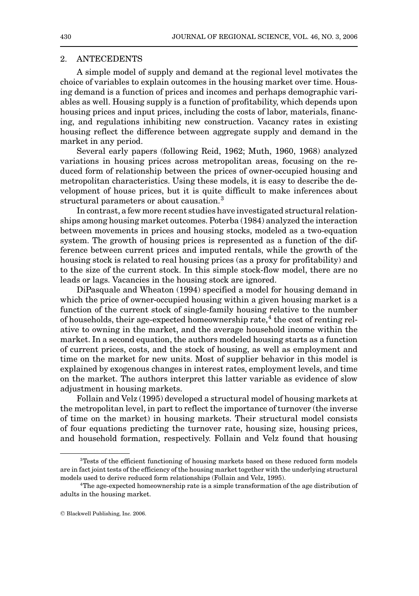# 2. ANTECEDENTS

A simple model of supply and demand at the regional level motivates the choice of variables to explain outcomes in the housing market over time. Housing demand is a function of prices and incomes and perhaps demographic variables as well. Housing supply is a function of profitability, which depends upon housing prices and input prices, including the costs of labor, materials, financing, and regulations inhibiting new construction. Vacancy rates in existing housing reflect the difference between aggregate supply and demand in the market in any period.

Several early papers (following Reid, 1962; Muth, 1960, 1968) analyzed variations in housing prices across metropolitan areas, focusing on the reduced form of relationship between the prices of owner-occupied housing and metropolitan characteristics. Using these models, it is easy to describe the development of house prices, but it is quite difficult to make inferences about structural parameters or about causation.<sup>3</sup>

In contrast, a few more recent studies have investigated structural relationships among housing market outcomes. Poterba (1984) analyzed the interaction between movements in prices and housing stocks, modeled as a two-equation system. The growth of housing prices is represented as a function of the difference between current prices and imputed rentals, while the growth of the housing stock is related to real housing prices (as a proxy for profitability) and to the size of the current stock. In this simple stock-flow model, there are no leads or lags. Vacancies in the housing stock are ignored.

DiPasquale and Wheaton (1994) specified a model for housing demand in which the price of owner-occupied housing within a given housing market is a function of the current stock of single-family housing relative to the number of households, their age-expected homeownership rate,  $4$  the cost of renting relative to owning in the market, and the average household income within the market. In a second equation, the authors modeled housing starts as a function of current prices, costs, and the stock of housing, as well as employment and time on the market for new units. Most of supplier behavior in this model is explained by exogenous changes in interest rates, employment levels, and time on the market. The authors interpret this latter variable as evidence of slow adjustment in housing markets.

Follain and Velz (1995) developed a structural model of housing markets at the metropolitan level, in part to reflect the importance of turnover (the inverse of time on the market) in housing markets. Their structural model consists of four equations predicting the turnover rate, housing size, housing prices, and household formation, respectively. Follain and Velz found that housing

<sup>&</sup>lt;sup>3</sup>Tests of the efficient functioning of housing markets based on these reduced form models are in fact joint tests of the efficiency of the housing market together with the underlying structural models used to derive reduced form relationships (Follain and Velz, 1995).

<sup>4</sup>The age-expected homeownership rate is a simple transformation of the age distribution of adults in the housing market.

<sup>-</sup><sup>C</sup> Blackwell Publishing, Inc. 2006.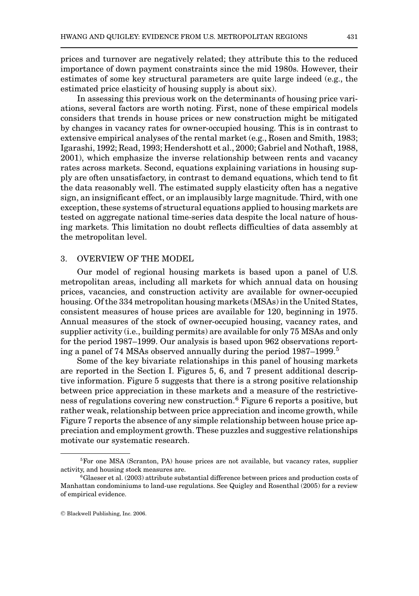prices and turnover are negatively related; they attribute this to the reduced importance of down payment constraints since the mid 1980s. However, their estimates of some key structural parameters are quite large indeed (e.g., the estimated price elasticity of housing supply is about six).

In assessing this previous work on the determinants of housing price variations, several factors are worth noting. First, none of these empirical models considers that trends in house prices or new construction might be mitigated by changes in vacancy rates for owner-occupied housing. This is in contrast to extensive empirical analyses of the rental market (e.g., Rosen and Smith, 1983; Igarashi, 1992; Read, 1993; Hendershott et al., 2000; Gabriel and Nothaft, 1988, 2001), which emphasize the inverse relationship between rents and vacancy rates across markets. Second, equations explaining variations in housing supply are often unsatisfactory, in contrast to demand equations, which tend to fit the data reasonably well. The estimated supply elasticity often has a negative sign, an insignificant effect, or an implausibly large magnitude. Third, with one exception, these systems of structural equations applied to housing markets are tested on aggregate national time-series data despite the local nature of housing markets. This limitation no doubt reflects difficulties of data assembly at the metropolitan level.

# 3. OVERVIEW OF THE MODEL

Our model of regional housing markets is based upon a panel of U.S. metropolitan areas, including all markets for which annual data on housing prices, vacancies, and construction activity are available for owner-occupied housing. Of the 334 metropolitan housing markets (MSAs) in the United States, consistent measures of house prices are available for 120, beginning in 1975. Annual measures of the stock of owner-occupied housing, vacancy rates, and supplier activity (i.e., building permits) are available for only 75 MSAs and only for the period 1987–1999. Our analysis is based upon 962 observations reporting a panel of 74 MSAs observed annually during the period 1987–1999.<sup>5</sup>

Some of the key bivariate relationships in this panel of housing markets are reported in the Section I. Figures 5, 6, and 7 present additional descriptive information. Figure 5 suggests that there is a strong positive relationship between price appreciation in these markets and a measure of the restrictiveness of regulations covering new construction.<sup>6</sup> Figure 6 reports a positive, but rather weak, relationship between price appreciation and income growth, while Figure 7 reports the absence of any simple relationship between house price appreciation and employment growth. These puzzles and suggestive relationships motivate our systematic research.

<sup>&</sup>lt;sup>5</sup>For one MSA (Scranton, PA) house prices are not available, but vacancy rates, supplier activity, and housing stock measures are.

<sup>6</sup>Glaeser et al. (2003) attribute substantial difference between prices and production costs of Manhattan condominiums to land-use regulations. See Quigley and Rosenthal (2005) for a review of empirical evidence.

<sup>-</sup><sup>C</sup> Blackwell Publishing, Inc. 2006.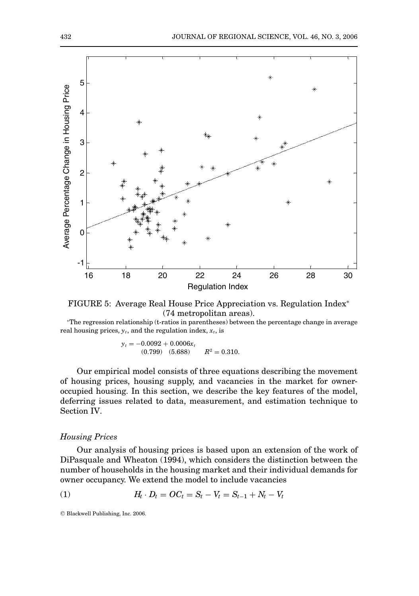

FIGURE 5: Average Real House Price Appreciation vs. Regulation Index<sup>∗</sup> (74 metropolitan areas).

<sup>∗</sup>The regression relationship (t-ratios in parentheses) between the percentage change in average real housing prices,  $y_t$ , and the regulation index,  $x_t$ , is

$$
y_t = -0.0092 + 0.0006x_t
$$
  
(0.799) (5.688)  $R^2 = 0.310.$ 

Our empirical model consists of three equations describing the movement of housing prices, housing supply, and vacancies in the market for owneroccupied housing. In this section, we describe the key features of the model, deferring issues related to data, measurement, and estimation technique to Section IV.

### *Housing Prices*

Our analysis of housing prices is based upon an extension of the work of DiPasquale and Wheaton (1994), which considers the distinction between the number of households in the housing market and their individual demands for owner occupancy. We extend the model to include vacancies

(1) 
$$
H_t \cdot D_t = OC_t = S_t - V_t = S_{t-1} + N_t - V_t
$$

<sup>-</sup><sup>C</sup> Blackwell Publishing, Inc. 2006.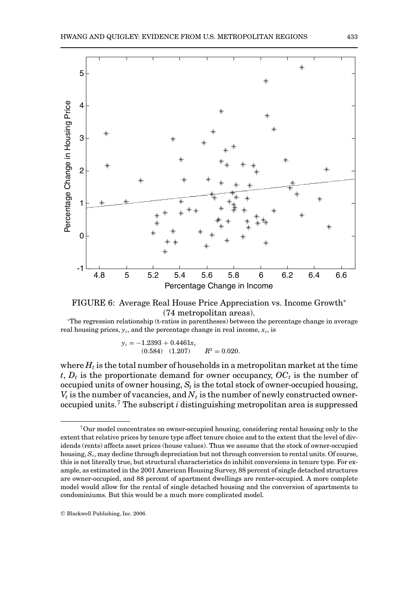

FIGURE 6: Average Real House Price Appreciation vs. Income Growth<sup>\*</sup> (74 metropolitan areas).

<sup>∗</sup>The regression relationship (t-ratios in parentheses) between the percentage change in average real housing prices,  $y_t$ , and the percentage change in real income,  $x_t$ , is

$$
y_t = -1.2393 + 0.4461x_t
$$
  
(0.584) (1.207)  $R^2 = 0.020$ .

where  $H_t$  is the total number of households in a metropolitan market at the time  $t, D_t$  is the proportionate demand for owner occupancy,  $OC_t$  is the number of occupied units of owner housing,  $S_t$  is the total stock of owner-occupied housing,  $V_t$  is the number of vacancies, and  $N_t$  is the number of newly constructed owneroccupied units.<sup>7</sup> The subscript *i* distinguishing metropolitan area is suppressed

<sup>7</sup>Our model concentrates on owner-occupied housing, considering rental housing only to the extent that relative prices by tenure type affect tenure choice and to the extent that the level of dividends (rents) affects asset prices (house values). Thus we assume that the stock of owner-occupied housing, *St*, may decline through depreciation but not through conversion to rental units. Of course, this is not literally true, but structural characteristics do inhibit conversions in tenure type. For example, as estimated in the 2001 American Housing Survey, 88 percent of single detached structures are owner-occupied, and 88 percent of apartment dwellings are renter-occupied. A more complete model would allow for the rental of single detached housing and the conversion of apartments to condominiums. But this would be a much more complicated model.

<sup>-</sup><sup>C</sup> Blackwell Publishing, Inc. 2006.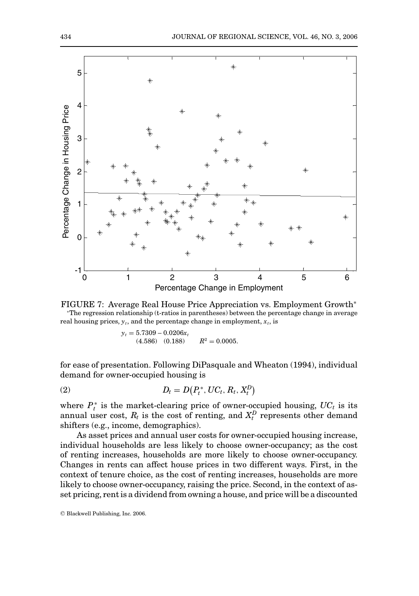

FIGURE 7: Average Real House Price Appreciation vs. Employment Growth<sup>∗</sup> <sup>∗</sup>The regression relationship (t-ratios in parentheses) between the percentage change in average real housing prices,  $y_t$ , and the percentage change in employment,  $x_t$ , is

 $y_t = 5.7309 - 0.0206x_t$  $(4.586)$   $(0.188)$   $R^2 = 0.0005$ .

for ease of presentation. Following DiPasquale and Wheaton (1994), individual demand for owner-occupied housing is

$$
(2) \tDt = D(Pt*, UCt, Rt, XtD)
$$

where  $P_t^*$  is the market-clearing price of owner-occupied housing,  $UC_t$  is its annual user cost,  $R_t$  is the cost of renting, and  $X_t^D$  represents other demand shifters (e.g., income, demographics).

As asset prices and annual user costs for owner-occupied housing increase, individual households are less likely to choose owner-occupancy; as the cost of renting increases, households are more likely to choose owner-occupancy. Changes in rents can affect house prices in two different ways. First, in the context of tenure choice, as the cost of renting increases, households are more likely to choose owner-occupancy, raising the price. Second, in the context of asset pricing, rent is a dividend from owning a house, and price will be a discounted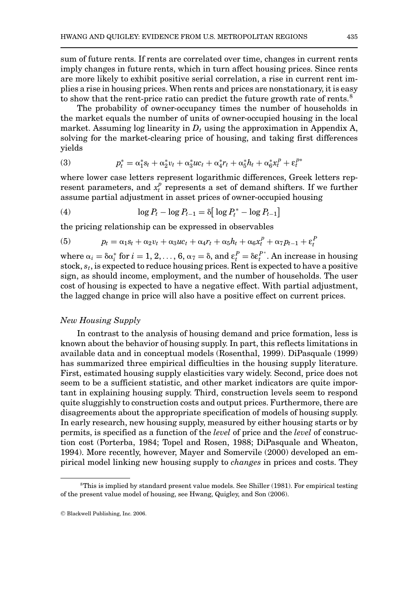sum of future rents. If rents are correlated over time, changes in current rents imply changes in future rents, which in turn affect housing prices. Since rents are more likely to exhibit positive serial correlation, a rise in current rent implies a rise in housing prices. When rents and prices are nonstationary, it is easy to show that the rent-price ratio can predict the future growth rate of rents.<sup>8</sup>

The probability of owner-occupancy times the number of households in the market equals the number of units of owner-occupied housing in the local market. Assuming  $\log$  linearity in  $D_t$  using the approximation in Appendix A, solving for the market-clearing price of housing, and taking first differences yields

(3) 
$$
p_t^* = \alpha_1^* s_t + \alpha_2^* v_t + \alpha_3^* u c_t + \alpha_4^* r_t + \alpha_5^* h_t + \alpha_6^* x_t^p + \epsilon_t^{p*}
$$

where lower case letters represent logarithmic differences, Greek letters represent parameters, and  $x_t^p$  represents a set of demand shifters. If we further assume partial adjustment in asset prices of owner-occupied housing

(4) 
$$
\log P_t - \log P_{t-1} = \delta \big[ \log P_t^* - \log P_{t-1} \big]
$$

the pricing relationship can be expressed in observables

(5) 
$$
p_t = \alpha_1 s_t + \alpha_2 v_t + \alpha_3 u c_t + \alpha_4 r_t + \alpha_5 h_t + \alpha_6 x_t^p + \alpha_7 p_{t-1} + \varepsilon_t^p
$$

where  $\alpha_i = \delta \alpha_i^*$  for  $i = 1, 2, ..., 6$ ,  $\alpha_7 = \delta$ , and  $\varepsilon_t^P = \delta \varepsilon_t^{P^*}$ . An increase in housing stock, *st*, is expected to reduce housing prices. Rent is expected to have a positive sign, as should income, employment, and the number of households. The user cost of housing is expected to have a negative effect. With partial adjustment, the lagged change in price will also have a positive effect on current prices.

# *New Housing Supply*

In contrast to the analysis of housing demand and price formation, less is known about the behavior of housing supply. In part, this reflects limitations in available data and in conceptual models (Rosenthal, 1999). DiPasquale (1999) has summarized three empirical difficulties in the housing supply literature. First, estimated housing supply elasticities vary widely. Second, price does not seem to be a sufficient statistic, and other market indicators are quite important in explaining housing supply. Third, construction levels seem to respond quite sluggishly to construction costs and output prices. Furthermore, there are disagreements about the appropriate specification of models of housing supply. In early research, new housing supply, measured by either housing starts or by permits, is specified as a function of the *level* of price and the *level* of construction cost (Porterba, 1984; Topel and Rosen, 1988; DiPasquale and Wheaton, 1994). More recently, however, Mayer and Somervile (2000) developed an empirical model linking new housing supply to *changes* in prices and costs. They

<sup>8</sup>This is implied by standard present value models. See Shiller (1981). For empirical testing of the present value model of housing, see Hwang, Quigley, and Son (2006).

<sup>-</sup><sup>C</sup> Blackwell Publishing, Inc. 2006.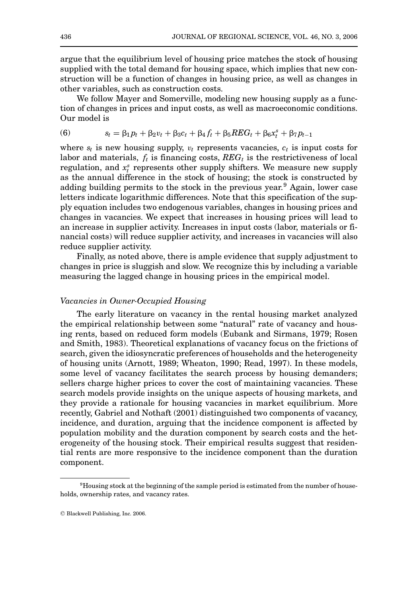argue that the equilibrium level of housing price matches the stock of housing supplied with the total demand for housing space, which implies that new construction will be a function of changes in housing price, as well as changes in other variables, such as construction costs.

We follow Mayer and Somerville, modeling new housing supply as a function of changes in prices and input costs, as well as macroeconomic conditions. Our model is

(6) 
$$
s_t = \beta_1 p_t + \beta_2 v_t + \beta_3 c_t + \beta_4 f_t + \beta_5 REG_t + \beta_6 x_t^s + \beta_7 p_{t-1}
$$

where  $s_t$  is new housing supply,  $v_t$  represents vacancies,  $c_t$  is input costs for labor and materials,  $f_t$  is financing costs,  $REG_t$  is the restrictiveness of local regulation, and  $x_t^s$  represents other supply shifters. We measure new supply as the annual difference in the stock of housing; the stock is constructed by adding building permits to the stock in the previous year.<sup>9</sup> Again, lower case letters indicate logarithmic differences. Note that this specification of the supply equation includes two endogenous variables, changes in housing prices and changes in vacancies. We expect that increases in housing prices will lead to an increase in supplier activity. Increases in input costs (labor, materials or financial costs) will reduce supplier activity, and increases in vacancies will also reduce supplier activity.

Finally, as noted above, there is ample evidence that supply adjustment to changes in price is sluggish and slow. We recognize this by including a variable measuring the lagged change in housing prices in the empirical model.

# *Vacancies in Owner-Occupied Housing*

The early literature on vacancy in the rental housing market analyzed the empirical relationship between some "natural" rate of vacancy and housing rents, based on reduced form models (Eubank and Sirmans, 1979; Rosen and Smith, 1983). Theoretical explanations of vacancy focus on the frictions of search, given the idiosyncratic preferences of households and the heterogeneity of housing units (Arnott, 1989; Wheaton, 1990; Read, 1997). In these models, some level of vacancy facilitates the search process by housing demanders; sellers charge higher prices to cover the cost of maintaining vacancies. These search models provide insights on the unique aspects of housing markets, and they provide a rationale for housing vacancies in market equilibrium. More recently, Gabriel and Nothaft (2001) distinguished two components of vacancy, incidence, and duration, arguing that the incidence component is affected by population mobility and the duration component by search costs and the heterogeneity of the housing stock. Their empirical results suggest that residential rents are more responsive to the incidence component than the duration component.

<sup>9</sup>Housing stock at the beginning of the sample period is estimated from the number of households, ownership rates, and vacancy rates.

<sup>-</sup><sup>C</sup> Blackwell Publishing, Inc. 2006.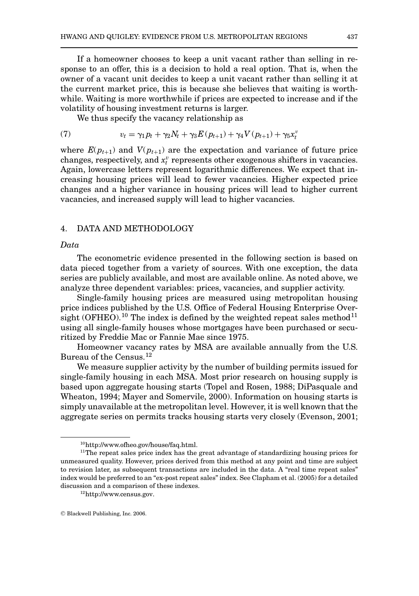If a homeowner chooses to keep a unit vacant rather than selling in response to an offer, this is a decision to hold a real option. That is, when the owner of a vacant unit decides to keep a unit vacant rather than selling it at the current market price, this is because she believes that waiting is worthwhile. Waiting is more worthwhile if prices are expected to increase and if the volatility of housing investment returns is larger.

We thus specify the vacancy relationship as

(7) 
$$
v_t = \gamma_1 p_t + \gamma_2 N_t + \gamma_3 E (p_{t+1}) + \gamma_4 V (p_{t+1}) + \gamma_5 x_t^v
$$

where  $E(p_{t+1})$  and  $V(p_{t+1})$  are the expectation and variance of future price changes, respectively, and  $x_t^v$  represents other exogenous shifters in vacancies. Again, lowercase letters represent logarithmic differences. We expect that increasing housing prices will lead to fewer vacancies. Higher expected price changes and a higher variance in housing prices will lead to higher current vacancies, and increased supply will lead to higher vacancies.

#### 4. DATA AND METHODOLOGY

#### *Data*

The econometric evidence presented in the following section is based on data pieced together from a variety of sources. With one exception, the data series are publicly available, and most are available online. As noted above, we analyze three dependent variables: prices, vacancies, and supplier activity.

Single-family housing prices are measured using metropolitan housing price indices published by the U.S. Office of Federal Housing Enterprise Oversight  $(OFHEO).<sup>10</sup>$  The index is defined by the weighted repeat sales method<sup>11</sup> using all single-family houses whose mortgages have been purchased or securitized by Freddie Mac or Fannie Mae since 1975.

Homeowner vacancy rates by MSA are available annually from the U.S. Bureau of the Census.<sup>12</sup>

We measure supplier activity by the number of building permits issued for single-family housing in each MSA. Most prior research on housing supply is based upon aggregate housing starts (Topel and Rosen, 1988; DiPasquale and Wheaton, 1994; Mayer and Somervile, 2000). Information on housing starts is simply unavailable at the metropolitan level. However, it is well known that the aggregate series on permits tracks housing starts very closely (Evenson, 2001;

<sup>10</sup>http://www.ofheo.gov/house/faq.html.

 $11$ The repeat sales price index has the great advantage of standardizing housing prices for unmeasured quality. However, prices derived from this method at any point and time are subject to revision later, as subsequent transactions are included in the data. A "real time repeat sales" index would be preferred to an "ex-post repeat sales" index. See Clapham et al. (2005) for a detailed discussion and a comparison of these indexes.

<sup>12</sup>http://www.census.gov.

<sup>-</sup><sup>C</sup> Blackwell Publishing, Inc. 2006.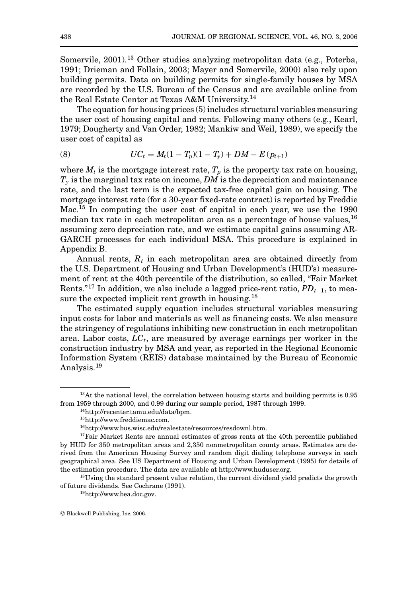Somervile,  $2001$ <sup>13</sup> Other studies analyzing metropolitan data (e.g., Poterba, 1991; Drieman and Follain, 2003; Mayer and Somervile, 2000) also rely upon building permits. Data on building permits for single-family houses by MSA are recorded by the U.S. Bureau of the Census and are available online from the Real Estate Center at Texas A&M University.<sup>14</sup>

The equation for housing prices (5) includes structural variables measuring the user cost of housing capital and rents. Following many others (e.g., Kearl, 1979; Dougherty and Van Order, 1982; Mankiw and Weil, 1989), we specify the user cost of capital as

(8) 
$$
UC_t = M_t(1 - T_p)(1 - T_y) + DM - E(p_{t+1})
$$

where  $M_t$  is the mortgage interest rate,  $T_p$  is the property tax rate on housing,  $T_{y}$  is the marginal tax rate on income,  $DM$  is the depreciation and maintenance rate, and the last term is the expected tax-free capital gain on housing. The mortgage interest rate (for a 30-year fixed-rate contract) is reported by Freddie Mac.<sup>15</sup> In computing the user cost of capital in each year, we use the 1990 median tax rate in each metropolitan area as a percentage of house values, <sup>16</sup> assuming zero depreciation rate, and we estimate capital gains assuming AR-GARCH processes for each individual MSA. This procedure is explained in Appendix B.

Annual rents,  $R_t$  in each metropolitan area are obtained directly from the U.S. Department of Housing and Urban Development's (HUD's) measurement of rent at the 40th percentile of the distribution, so called, "Fair Market Rents."<sup>17</sup> In addition, we also include a lagged price-rent ratio, *PDt*−1, to measure the expected implicit rent growth in housing.<sup>18</sup>

The estimated supply equation includes structural variables measuring input costs for labor and materials as well as financing costs. We also measure the stringency of regulations inhibiting new construction in each metropolitan area. Labor costs,  $LC<sub>t</sub>$ , are measured by average earnings per worker in the construction industry by MSA and year, as reported in the Regional Economic Information System (REIS) database maintained by the Bureau of Economic Analysis.<sup>19</sup>

 $13$ At the national level, the correlation between housing starts and building permits is 0.95 from 1959 through 2000, and 0.99 during our sample period, 1987 through 1999.

<sup>14</sup>http://recenter.tamu.edu/data/bpm.

<sup>15</sup>http://www.freddiemac.com.

<sup>16</sup>http://www.bus.wisc.edu/realestate/resources/resdownl.htm.

 $17$ Fair Market Rents are annual estimates of gross rents at the 40th percentile published by HUD for 350 metropolitan areas and 2,350 nonmetropolitan county areas. Estimates are derived from the American Housing Survey and random digit dialing telephone surveys in each geographical area. See US Department of Housing and Urban Development (1995) for details of the estimation procedure. The data are available at http://www.huduser.org.

<sup>18</sup>Using the standard present value relation, the current dividend yield predicts the growth of future dividends. See Cochrane (1991).

<sup>19</sup>http://www.bea.doc.gov.

<sup>-</sup><sup>C</sup> Blackwell Publishing, Inc. 2006.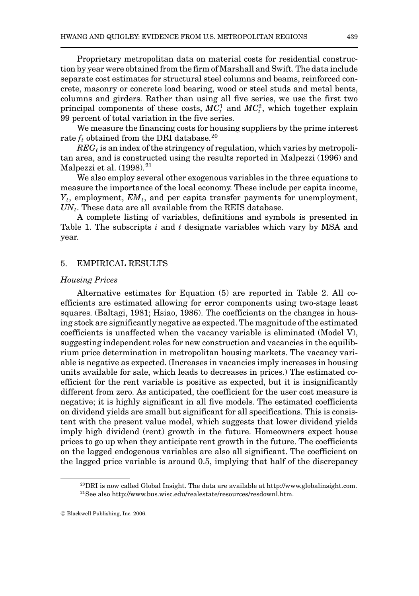Proprietary metropolitan data on material costs for residential construction by year were obtained from the firm of Marshall and Swift. The data include separate cost estimates for structural steel columns and beams, reinforced concrete, masonry or concrete load bearing, wood or steel studs and metal bents, columns and girders. Rather than using all five series, we use the first two principal components of these costs,  $MC<sub>t</sub><sup>1</sup>$  and  $MC<sub>t</sub><sup>2</sup>$ , which together explain 99 percent of total variation in the five series.

We measure the financing costs for housing suppliers by the prime interest rate  $f_t$  obtained from the DRI database.<sup>20</sup>

 $REG_t$  is an index of the stringency of regulation, which varies by metropolitan area, and is constructed using the results reported in Malpezzi (1996) and Malpezzi et al.  $(1998).^{21}$ 

We also employ several other exogenous variables in the three equations to measure the importance of the local economy. These include per capita income,  $Y_t$ , employment,  $EM_t$ , and per capita transfer payments for unemployment,  $UN_t$ . These data are all available from the REIS database.

A complete listing of variables, definitions and symbols is presented in Table 1. The subscripts *i* and *t* designate variables which vary by MSA and year.

#### 5. EMPIRICAL RESULTS

#### *Housing Prices*

Alternative estimates for Equation (5) are reported in Table 2. All coefficients are estimated allowing for error components using two-stage least squares. (Baltagi, 1981; Hsiao, 1986). The coefficients on the changes in housing stock are significantly negative as expected. The magnitude of the estimated coefficients is unaffected when the vacancy variable is eliminated (Model V), suggesting independent roles for new construction and vacancies in the equilibrium price determination in metropolitan housing markets. The vacancy variable is negative as expected. (Increases in vacancies imply increases in housing units available for sale, which leads to decreases in prices.) The estimated coefficient for the rent variable is positive as expected, but it is insignificantly different from zero. As anticipated, the coefficient for the user cost measure is negative; it is highly significant in all five models. The estimated coefficients on dividend yields are small but significant for all specifications. This is consistent with the present value model, which suggests that lower dividend yields imply high dividend (rent) growth in the future. Homeowners expect house prices to go up when they anticipate rent growth in the future. The coefficients on the lagged endogenous variables are also all significant. The coefficient on the lagged price variable is around 0.5, implying that half of the discrepancy

 $^{20}$ DRI is now called Global Insight. The data are available at http://www.globalinsight.com. 21See also http://www.bus.wisc.edu/realestate/resources/resdownl.htm.

<sup>-</sup><sup>C</sup> Blackwell Publishing, Inc. 2006.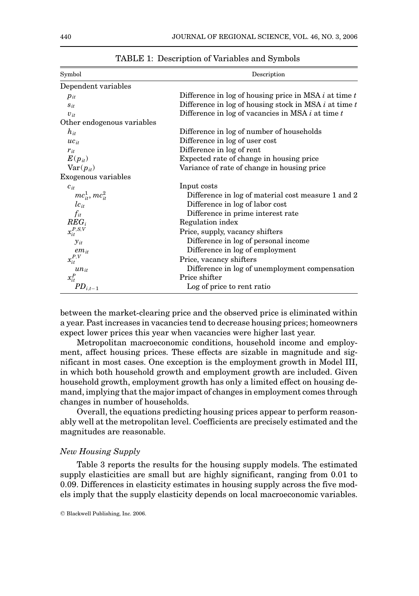| Symbol                     | Description                                               |  |  |
|----------------------------|-----------------------------------------------------------|--|--|
| Dependent variables        |                                                           |  |  |
| $p_{it}$                   | Difference in log of housing price in MSA $i$ at time $t$ |  |  |
| $S_{it}$                   | Difference in log of housing stock in MSA $i$ at time $t$ |  |  |
| $U_{it}$                   | Difference in log of vacancies in MSA $i$ at time $t$     |  |  |
| Other endogenous variables |                                                           |  |  |
| $h_{it}$                   | Difference in log of number of households                 |  |  |
| $uc_{it}$                  | Difference in log of user cost                            |  |  |
| $r_{it}$                   | Difference in log of rent                                 |  |  |
| $E(p_{it})$                | Expected rate of change in housing price                  |  |  |
| $Var(p_{it})$              | Variance of rate of change in housing price               |  |  |
| Exogenous variables        |                                                           |  |  |
| $c_{it}$                   | Input costs                                               |  |  |
| $mc_{it}^1, mc_{it}^2$     | Difference in log of material cost measure 1 and 2        |  |  |
| $lc_{it}$                  | Difference in log of labor cost                           |  |  |
| $f_{it}$                   | Difference in prime interest rate                         |  |  |
| $REG_i$                    | Regulation index                                          |  |  |
| $x_i^{P,S,V}$              | Price, supply, vacancy shifters                           |  |  |
| $y_{it}$                   | Difference in log of personal income                      |  |  |
| $em_{it}$                  | Difference in log of employment                           |  |  |
| $x_{it}^{P,V}$             | Price, vacancy shifters                                   |  |  |
| $un_{it}$                  | Difference in log of unemployment compensation            |  |  |
| $x_{it}^P$                 | Price shifter                                             |  |  |
| $PD_{i,t-1}$               | Log of price to rent ratio                                |  |  |

TABLE 1: Description of Variables and Symbols

between the market-clearing price and the observed price is eliminated within a year. Past increases in vacancies tend to decrease housing prices; homeowners expect lower prices this year when vacancies were higher last year.

Metropolitan macroeconomic conditions, household income and employment, affect housing prices. These effects are sizable in magnitude and significant in most cases. One exception is the employment growth in Model III, in which both household growth and employment growth are included. Given household growth, employment growth has only a limited effect on housing demand, implying that the major impact of changes in employment comes through changes in number of households.

Overall, the equations predicting housing prices appear to perform reasonably well at the metropolitan level. Coefficients are precisely estimated and the magnitudes are reasonable.

# *New Housing Supply*

Table 3 reports the results for the housing supply models. The estimated supply elasticities are small but are highly significant, ranging from 0.01 to 0.09. Differences in elasticity estimates in housing supply across the five models imply that the supply elasticity depends on local macroeconomic variables.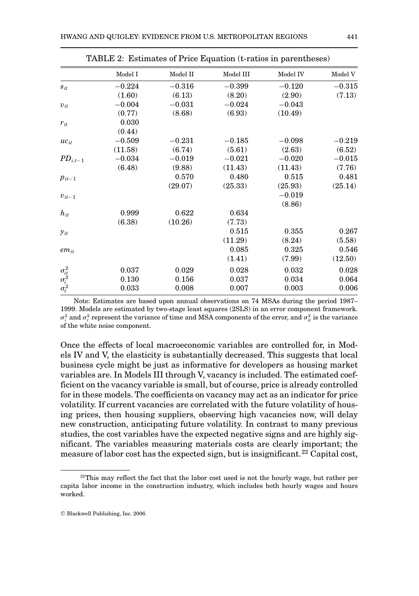| TABLE 2: Estimates of Price Equation (t-ratios in parentheses)           |            |          |           |          |          |
|--------------------------------------------------------------------------|------------|----------|-----------|----------|----------|
|                                                                          | Model I    | Model II | Model III | Model IV | Model V  |
| $s_{it}$                                                                 | $-0.224\,$ | $-0.316$ | $-0.399$  | $-0.120$ | $-0.315$ |
|                                                                          | (1.60)     | (6.13)   | (8.20)    | (2.90)   | (7.13)   |
| $v_{it}$                                                                 | $-0.004$   | $-0.031$ | $-0.024$  | $-0.043$ |          |
|                                                                          | (0.77)     | (8.68)   | (6.93)    | (10.49)  |          |
| $r_{it}$                                                                 | 0.030      |          |           |          |          |
|                                                                          | (0.44)     |          |           |          |          |
| $uc_{it}$                                                                | $-0.509$   | $-0.231$ | $-0.185$  | $-0.098$ | $-0.219$ |
|                                                                          | (11.58)    | (6.74)   | (5.61)    | (2.63)   | (6.52)   |
| $PD_{i,t-1}$                                                             | $-0.034$   | $-0.019$ | $-0.021$  | $-0.020$ | $-0.015$ |
|                                                                          | (6.48)     | (9.88)   | (11.43)   | (11.43)  | (7.76)   |
| $p_{it-1}$                                                               |            | 0.570    | 0.480     | 0.515    | 0.481    |
|                                                                          |            | (29.07)  | (25.33)   | (25.93)  | (25.14)  |
| $v_{it-1}$                                                               |            |          |           | $-0.019$ |          |
|                                                                          |            |          |           | (8.86)   |          |
| $h_{it}$                                                                 | 0.999      | 0.622    | 0.634     |          |          |
|                                                                          | (6.38)     | (10.26)  | (7.73)    |          |          |
| $y_{it}$                                                                 |            |          | 0.515     | 0.355    | 0.267    |
|                                                                          |            |          | (11.29)   | (8.24)   | (5.58)   |
| $em_{it}$                                                                |            |          | 0.085     | 0.325    | 0.546    |
|                                                                          |            |          | (1.41)    | (7.99)   | (12.50)  |
| $\begin{array}{c} \sigma_{it}^2 \\ \sigma_i^2 \\ \sigma_t^2 \end{array}$ | 0.037      | 0.029    | 0.028     | 0.032    | 0.028    |
|                                                                          | 0.130      | 0.156    | 0.037     | 0.034    | 0.064    |
|                                                                          | 0.033      | 0.008    | 0.007     | 0.003    | 0.006    |
|                                                                          |            |          |           |          |          |

Note: Estimates are based upon annual observations on 74 MSAs during the period 1987– 1999. Models are estimated by two-stage least squares (2SLS) in an error component framework.  $\sigma_i^2$  and  $\sigma_t^2$  represent the variance of time and MSA components of the error, and  $\sigma_{it}^2$  is the variance of the white noise component.

Once the effects of local macroeconomic variables are controlled for, in Models IV and V, the elasticity is substantially decreased. This suggests that local business cycle might be just as informative for developers as housing market variables are. In Models III through V, vacancy is included. The estimated coefficient on the vacancy variable is small, but of course, price is already controlled for in these models. The coefficients on vacancy may act as an indicator for price volatility. If current vacancies are correlated with the future volatility of housing prices, then housing suppliers, observing high vacancies now, will delay new construction, anticipating future volatility. In contrast to many previous studies, the cost variables have the expected negative signs and are highly significant. The variables measuring materials costs are clearly important; the measure of labor cost has the expected sign, but is insignificant.<sup>22</sup> Capital cost,

<sup>&</sup>lt;sup>22</sup>This may reflect the fact that the labor cost used is not the hourly wage, but rather per capita labor income in the construction industry, which includes both hourly wages and hours worked.

<sup>-</sup><sup>C</sup> Blackwell Publishing, Inc. 2006.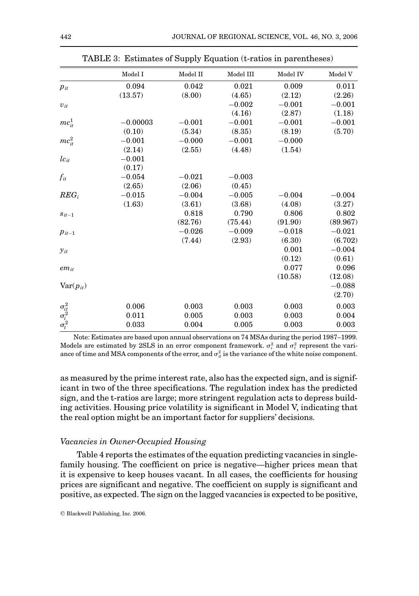|                                                                          | Model I    | Model II | Model III | Model IV | Model V  |
|--------------------------------------------------------------------------|------------|----------|-----------|----------|----------|
| $p_{it}$                                                                 | 0.094      | 0.042    | 0.021     | 0.009    | 0.011    |
|                                                                          | (13.57)    | (8.00)   | (4.65)    | (2.12)   | (2.26)   |
| $v_{it}$                                                                 |            |          | $-0.002$  | $-0.001$ | $-0.001$ |
|                                                                          |            |          | (4.16)    | (2.87)   | (1.18)   |
| $mc_{it}^1$                                                              | $-0.00003$ | $-0.001$ | $-0.001$  | $-0.001$ | $-0.001$ |
|                                                                          | (0.10)     | (5.34)   | (8.35)    | (8.19)   | (5.70)   |
| $mc_{it}^2$                                                              | $-0.001$   | $-0.000$ | $-0.001$  | $-0.000$ |          |
|                                                                          | (2.14)     | (2.55)   | (4.48)    | (1.54)   |          |
| $lc_{it}$                                                                | $-0.001$   |          |           |          |          |
|                                                                          | (0.17)     |          |           |          |          |
| $f_{it}$                                                                 | $-0.054$   | $-0.021$ | $-0.003$  |          |          |
|                                                                          | (2.65)     | (2.06)   | (0.45)    |          |          |
| $REG_i$                                                                  | $-0.015$   | $-0.004$ | $-0.005$  | $-0.004$ | $-0.004$ |
|                                                                          | (1.63)     | (3.61)   | (3.68)    | (4.08)   | (3.27)   |
| $s_{it-1}$                                                               |            | 0.818    | 0.790     | 0.806    | 0.802    |
|                                                                          |            | (82.76)  | (75.44)   | (91.90)  | (89.967) |
| $p_{it-1}$                                                               |            | $-0.026$ | $-0.009$  | $-0.018$ | $-0.021$ |
|                                                                          |            | (7.44)   | (2.93)    | (6.30)   | (6.702)  |
| $y_{it}$                                                                 |            |          |           | 0.001    | $-0.004$ |
|                                                                          |            |          |           | (0.12)   | (0.61)   |
| $em_{it}$                                                                |            |          |           | 0.077    | 0.096    |
|                                                                          |            |          |           | (10.58)  | (12.08)  |
| $Var(p_{it})$                                                            |            |          |           |          | $-0.088$ |
|                                                                          |            |          |           |          | (2.70)   |
|                                                                          | 0.006      | 0.003    | 0.003     | 0.003    | 0.003    |
|                                                                          | 0.011      | 0.005    | 0.003     | 0.003    | 0.004    |
| $\begin{array}{c} \sigma_{it}^2 \\ \sigma_i^2 \\ \sigma_t^2 \end{array}$ | 0.033      | 0.004    | 0.005     | 0.003    | 0.003    |
|                                                                          |            |          |           |          |          |

TABLE 3: Estimates of Supply Equation (t-ratios in parentheses)

Note: Estimates are based upon annual observations on 74 MSAs during the period 1987–1999. Models are estimated by 2SLS in an error component framework.  $\sigma_i^2$  and  $\sigma_t^2$  represent the variance of time and MSA components of the error, and  $\sigma_{it}^2$  is the variance of the white noise component.

as measured by the prime interest rate, also has the expected sign, and is significant in two of the three specifications. The regulation index has the predicted sign, and the t-ratios are large; more stringent regulation acts to depress building activities. Housing price volatility is significant in Model V, indicating that the real option might be an important factor for suppliers' decisions.

### *Vacancies in Owner-Occupied Housing*

Table 4 reports the estimates of the equation predicting vacancies in singlefamily housing. The coefficient on price is negative—higher prices mean that it is expensive to keep houses vacant. In all cases, the coefficients for housing prices are significant and negative. The coefficient on supply is significant and positive, as expected. The sign on the lagged vacancies is expected to be positive,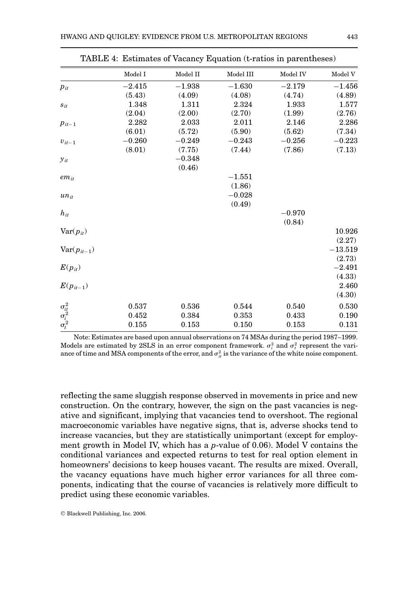|                                                                          | of $($ ucanc $)$ Equation ( $\bullet$ ratios in parements $\circ$ |          |           |          |           |
|--------------------------------------------------------------------------|-------------------------------------------------------------------|----------|-----------|----------|-----------|
|                                                                          | Model I                                                           | Model II | Model III | Model IV | Model V   |
| $p_{it}$                                                                 | $-2.415$                                                          | $-1.938$ | $-1.630$  | $-2.179$ | $-1.456$  |
|                                                                          | (5.43)                                                            | (4.09)   | (4.08)    | (4.74)   | (4.89)    |
| $S_{it}$                                                                 | 1.348                                                             | 1.311    | 2.324     | 1.933    | 1.577     |
|                                                                          | (2.04)                                                            | (2.00)   | (2.70)    | (1.99)   | (2.76)    |
| $p_{it-1}$                                                               | 2.282                                                             | 2.033    | 2.011     | 2.146    | 2.286     |
|                                                                          | (6.01)                                                            | (5.72)   | (5.90)    | (5.62)   | (7.34)    |
| $v_{it-1}$                                                               | $-0.260$                                                          | $-0.249$ | $-0.243$  | $-0.256$ | $-0.223$  |
|                                                                          | (8.01)                                                            | (7.75)   | (7.44)    | (7.86)   | (7.13)    |
| $y_{it}$                                                                 |                                                                   | $-0.348$ |           |          |           |
|                                                                          |                                                                   | (0.46)   |           |          |           |
| $em_{it}$                                                                |                                                                   |          | $-1.551$  |          |           |
|                                                                          |                                                                   |          | (1.86)    |          |           |
| $un_{it}$                                                                |                                                                   |          | $-0.028$  |          |           |
|                                                                          |                                                                   |          | (0.49)    |          |           |
| $h_{it}$                                                                 |                                                                   |          |           | $-0.970$ |           |
|                                                                          |                                                                   |          |           | (0.84)   |           |
| $Var(p_{it})$                                                            |                                                                   |          |           |          | 10.926    |
|                                                                          |                                                                   |          |           |          | (2.27)    |
| $Var(p_{it-1})$                                                          |                                                                   |          |           |          | $-13.519$ |
|                                                                          |                                                                   |          |           |          | (2.73)    |
| $E(p_{it})$                                                              |                                                                   |          |           |          | $-2.491$  |
| $E(p_{it-1})$                                                            |                                                                   |          |           |          | (4.33)    |
|                                                                          |                                                                   |          |           |          | 2.460     |
|                                                                          |                                                                   |          |           |          | (4.30)    |
| $\begin{array}{c} \sigma_{it}^2 \\ \sigma_i^2 \\ \sigma_t^2 \end{array}$ | 0.537                                                             | 0.536    | 0.544     | 0.540    | 0.530     |
|                                                                          | 0.452                                                             | 0.384    | 0.353     | 0.433    | 0.190     |
|                                                                          | 0.155                                                             | 0.153    | 0.150     | 0.153    | 0.131     |
|                                                                          |                                                                   |          |           |          |           |

TABLE 4: Estimates of Vacancy Equation (t-ratios in parentheses)

Note: Estimates are based upon annual observations on 74 MSAs during the period 1987–1999. Models are estimated by 2SLS in an error component framework.  $\sigma_i^2$  and  $\sigma_t^2$  represent the variance of time and MSA components of the error, and  $\sigma_{it}^2$  is the variance of the white noise component.

reflecting the same sluggish response observed in movements in price and new construction. On the contrary, however, the sign on the past vacancies is negative and significant, implying that vacancies tend to overshoot. The regional macroeconomic variables have negative signs, that is, adverse shocks tend to increase vacancies, but they are statistically unimportant (except for employment growth in Model IV, which has a *p*-value of 0.06). Model V contains the conditional variances and expected returns to test for real option element in homeowners' decisions to keep houses vacant. The results are mixed. Overall, the vacancy equations have much higher error variances for all three components, indicating that the course of vacancies is relatively more difficult to predict using these economic variables.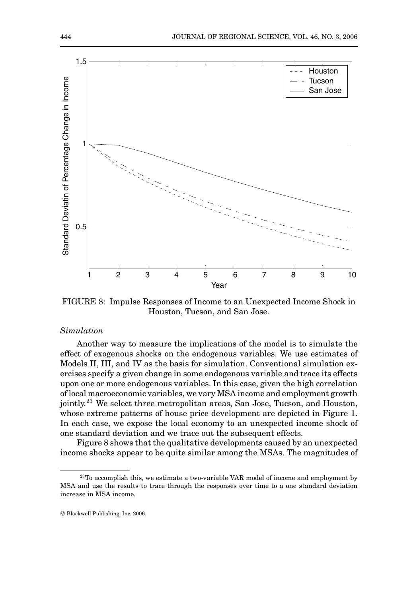

FIGURE 8: Impulse Responses of Income to an Unexpected Income Shock in Houston, Tucson, and San Jose.

# *Simulation*

Another way to measure the implications of the model is to simulate the effect of exogenous shocks on the endogenous variables. We use estimates of Models II, III, and IV as the basis for simulation. Conventional simulation exercises specify a given change in some endogenous variable and trace its effects upon one or more endogenous variables. In this case, given the high correlation of local macroeconomic variables, we vary MSA income and employment growth jointly.<sup>23</sup> We select three metropolitan areas, San Jose, Tucson, and Houston, whose extreme patterns of house price development are depicted in Figure 1. In each case, we expose the local economy to an unexpected income shock of one standard deviation and we trace out the subsequent effects.

Figure 8 shows that the qualitative developments caused by an unexpected income shocks appear to be quite similar among the MSAs. The magnitudes of

<sup>&</sup>lt;sup>23</sup>To accomplish this, we estimate a two-variable VAR model of income and employment by MSA and use the results to trace through the responses over time to a one standard deviation increase in MSA income.

<sup>-</sup><sup>C</sup> Blackwell Publishing, Inc. 2006.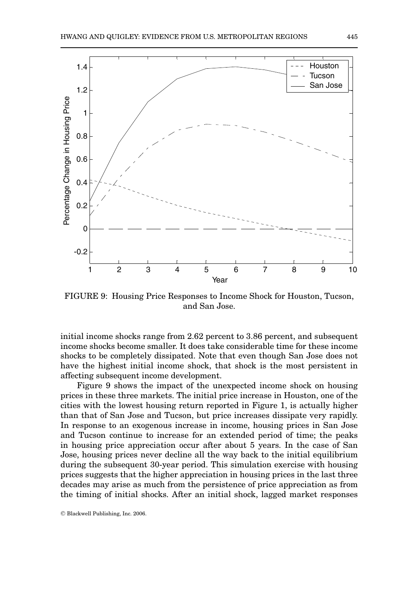

FIGURE 9: Housing Price Responses to Income Shock for Houston, Tucson, and San Jose.

initial income shocks range from 2.62 percent to 3.86 percent, and subsequent income shocks become smaller. It does take considerable time for these income shocks to be completely dissipated. Note that even though San Jose does not have the highest initial income shock, that shock is the most persistent in affecting subsequent income development.

Figure 9 shows the impact of the unexpected income shock on housing prices in these three markets. The initial price increase in Houston, one of the cities with the lowest housing return reported in Figure 1, is actually higher than that of San Jose and Tucson, but price increases dissipate very rapidly. In response to an exogenous increase in income, housing prices in San Jose and Tucson continue to increase for an extended period of time; the peaks in housing price appreciation occur after about 5 years. In the case of San Jose, housing prices never decline all the way back to the initial equilibrium during the subsequent 30-year period. This simulation exercise with housing prices suggests that the higher appreciation in housing prices in the last three decades may arise as much from the persistence of price appreciation as from the timing of initial shocks. After an initial shock, lagged market responses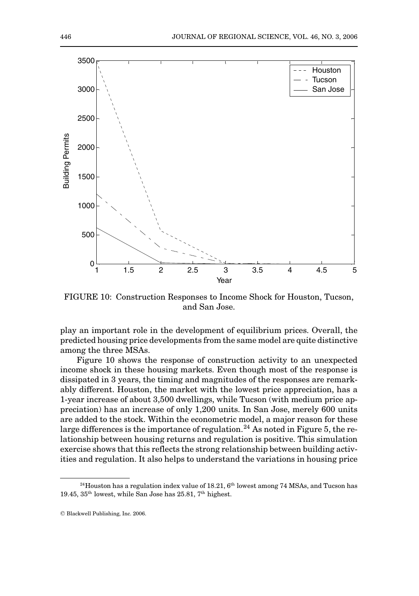

FIGURE 10: Construction Responses to Income Shock for Houston, Tucson, and San Jose.

play an important role in the development of equilibrium prices. Overall, the predicted housing price developments from the same model are quite distinctive among the three MSAs.

Figure 10 shows the response of construction activity to an unexpected income shock in these housing markets. Even though most of the response is dissipated in 3 years, the timing and magnitudes of the responses are remarkably different. Houston, the market with the lowest price appreciation, has a 1-year increase of about 3,500 dwellings, while Tucson (with medium price appreciation) has an increase of only 1,200 units. In San Jose, merely 600 units are added to the stock. Within the econometric model, a major reason for these large differences is the importance of regulation.<sup>24</sup> As noted in Figure 5, the relationship between housing returns and regulation is positive. This simulation exercise shows that this reflects the strong relationship between building activities and regulation. It also helps to understand the variations in housing price

<sup>&</sup>lt;sup>24</sup>Houston has a regulation index value of 18.21,  $6<sup>th</sup>$  lowest among 74 MSAs, and Tucson has 19.45, 35<sup>th</sup> lowest, while San Jose has  $25.81$ ,  $7<sup>th</sup>$  highest.

<sup>-</sup><sup>C</sup> Blackwell Publishing, Inc. 2006.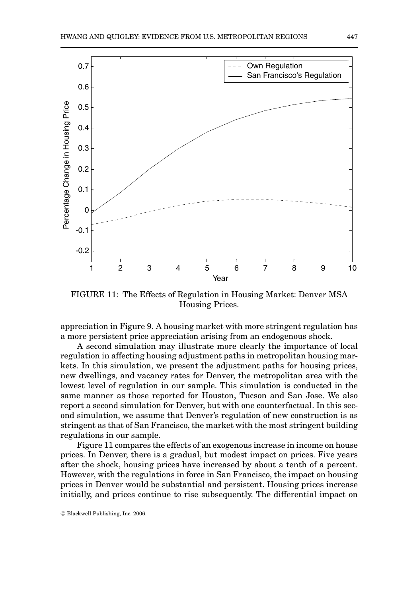

FIGURE 11: The Effects of Regulation in Housing Market: Denver MSA Housing Prices.

appreciation in Figure 9. A housing market with more stringent regulation has a more persistent price appreciation arising from an endogenous shock.

A second simulation may illustrate more clearly the importance of local regulation in affecting housing adjustment paths in metropolitan housing markets. In this simulation, we present the adjustment paths for housing prices, new dwellings, and vacancy rates for Denver, the metropolitan area with the lowest level of regulation in our sample. This simulation is conducted in the same manner as those reported for Houston, Tucson and San Jose. We also report a second simulation for Denver, but with one counterfactual. In this second simulation, we assume that Denver's regulation of new construction is as stringent as that of San Francisco, the market with the most stringent building regulations in our sample.

Figure 11 compares the effects of an exogenous increase in income on house prices. In Denver, there is a gradual, but modest impact on prices. Five years after the shock, housing prices have increased by about a tenth of a percent. However, with the regulations in force in San Francisco, the impact on housing prices in Denver would be substantial and persistent. Housing prices increase initially, and prices continue to rise subsequently. The differential impact on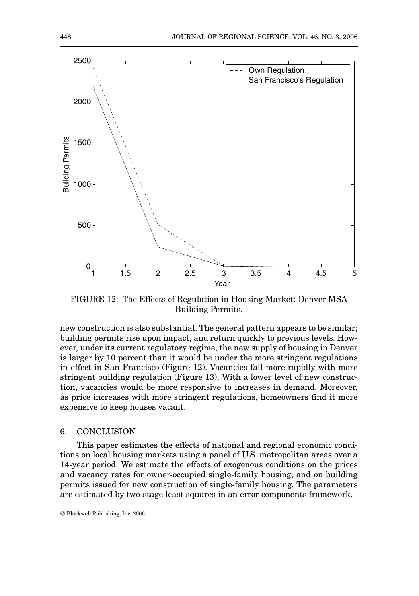

FIGURE 12: The Effects of Regulation in Housing Market: Denver MSA Building Permits.

new construction is also substantial. The general pattern appears to be similar; building permits rise upon impact, and return quickly to previous levels. However, under its current regulatory regime, the new supply of housing in Denver is larger by 10 percent than it would be under the more stringent regulations in effect in San Francisco (Figure 12). Vacancies fall more rapidly with more stringent building regulation (Figure 13). With a lower level of new construction, vacancies would be more responsive to increases in demand. Moreover, as price increases with more stringent regulations, homeowners find it more expensive to keep houses vacant.

# 6. CONCLUSION

This paper estimates the effects of national and regional economic conditions on local housing markets using a panel of U.S. metropolitan areas over a 14-year period. We estimate the effects of exogenous conditions on the prices and vacancy rates for owner-occupied single-family housing, and on building permits issued for new construction of single-family housing. The parameters are estimated by two-stage least squares in an error components framework.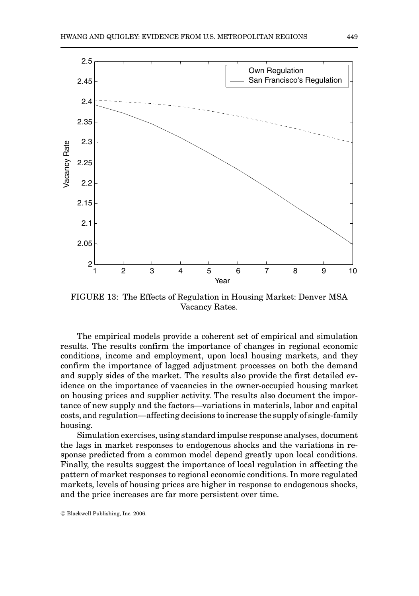

FIGURE 13: The Effects of Regulation in Housing Market: Denver MSA Vacancy Rates.

The empirical models provide a coherent set of empirical and simulation results. The results confirm the importance of changes in regional economic conditions, income and employment, upon local housing markets, and they confirm the importance of lagged adjustment processes on both the demand and supply sides of the market. The results also provide the first detailed evidence on the importance of vacancies in the owner-occupied housing market on housing prices and supplier activity. The results also document the importance of new supply and the factors—variations in materials, labor and capital costs, and regulation—affecting decisions to increase the supply of single-family housing.

Simulation exercises, using standard impulse response analyses, document the lags in market responses to endogenous shocks and the variations in response predicted from a common model depend greatly upon local conditions. Finally, the results suggest the importance of local regulation in affecting the pattern of market responses to regional economic conditions. In more regulated markets, levels of housing prices are higher in response to endogenous shocks, and the price increases are far more persistent over time.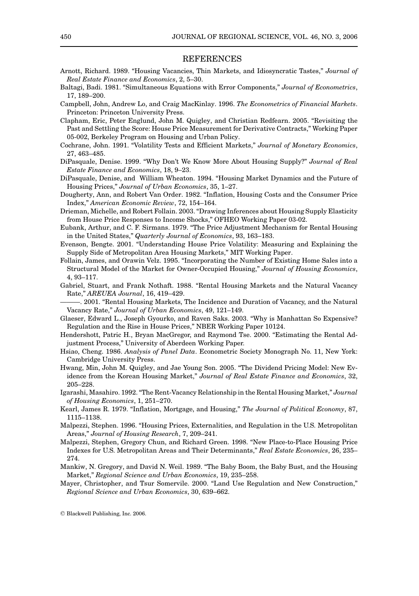# **REFERENCES**

- Arnott, Richard. 1989. "Housing Vacancies, Thin Markets, and Idiosyncratic Tastes," *Journal of Real Estate Finance and Economics*, 2, 5–30.
- Baltagi, Badi. 1981. "Simultaneous Equations with Error Components," *Journal of Econometrics*, 17, 189–200.
- Campbell, John, Andrew Lo, and Craig MacKinlay. 1996. *The Econometrics of Financial Markets*. Princeton: Princeton University Press.
- Clapham, Eric, Peter Englund, John M. Quigley, and Christian Redfearn. 2005. "Revisiting the Past and Settling the Score: House Price Measurement for Derivative Contracts," Working Paper 05-002, Berkeley Program on Housing and Urban Policy.
- Cochrane, John. 1991. "Volatility Tests and Efficient Markets," *Journal of Monetary Economics*, 27, 463–485.
- DiPasquale, Denise. 1999. "Why Don't We Know More About Housing Supply?" *Journal of Real Estate Finance and Economics*, 18, 9–23.
- DiPasquale, Denise, and William Wheaton. 1994. "Housing Market Dynamics and the Future of Housing Prices," *Journal of Urban Economics*, 35, 1–27.
- Dougherty, Ann, and Robert Van Order. 1982. "Inflation, Housing Costs and the Consumer Price Index," *American Economic Review*, 72, 154–164.
- Drieman, Michelle, and Robert Follain. 2003. "Drawing Inferences about Housing Supply Elasticity from House Price Responses to Income Shocks," OFHEO Working Paper 03-02.
- Eubank, Arthur, and C. F. Sirmans. 1979. "The Price Adjustment Mechanism for Rental Housing in the United States," *Quarterly Journal of Economics*, 93, 163–183.
- Evenson, Bengte. 2001. "Understanding House Price Volatility: Measuring and Explaining the Supply Side of Metropolitan Area Housing Markets," MIT Working Paper.
- Follain, James, and Orawin Velz. 1995. "Incorporating the Number of Existing Home Sales into a Structural Model of the Market for Owner-Occupied Housing," *Journal of Housing Economics*, 4, 93–117.
- Gabriel, Stuart, and Frank Nothaft. 1988. "Rental Housing Markets and the Natural Vacancy Rate," *AREUEA Journal*, 16, 419–429.
- ———. 2001. "Rental Housing Markets, The Incidence and Duration of Vacancy, and the Natural Vacancy Rate," *Journal of Urban Economics*, 49, 121–149.
- Glaeser, Edward L., Joseph Gyourko, and Raven Saks. 2003. "Why is Manhattan So Expensive? Regulation and the Rise in House Prices," NBER Working Paper 10124.
- Hendershott, Patric H., Bryan MacGregor, and Raymond Tse. 2000. "Estimating the Rental Adjustment Process," University of Aberdeen Working Paper.
- Hsiao, Cheng. 1986. *Analysis of Panel Data*. Econometric Society Monograph No. 11, New York: Cambridge University Press.
- Hwang, Min, John M. Quigley, and Jae Young Son. 2005. "The Dividend Pricing Model: New Evidence from the Korean Housing Market," *Journal of Real Estate Finance and Economics*, 32, 205–228.
- Igarashi, Masahiro. 1992. "The Rent-Vacancy Relationship in the Rental Housing Market," *Journal of Housing Economics*, 1, 251–270.
- Kearl, James R. 1979. "Inflation, Mortgage, and Housing," *The Journal of Political Economy*, 87, 1115–1138.
- Malpezzi, Stephen. 1996. "Housing Prices, Externalities, and Regulation in the U.S. Metropolitan Areas," *Journal of Housing Research*, 7, 209–241.
- Malpezzi, Stephen, Gregory Chun, and Richard Green. 1998. "New Place-to-Place Housing Price Indexes for U.S. Metropolitan Areas and Their Determinants," *Real Estate Economics*, 26, 235– 274.
- Mankiw, N. Gregory, and David N. Weil. 1989. "The Baby Boom, the Baby Bust, and the Housing Market," *Regional Science and Urban Economics*, 19, 235–258.
- Mayer, Christopher, and Tsur Somervile. 2000. "Land Use Regulation and New Construction," *Regional Science and Urban Economics*, 30, 639–662.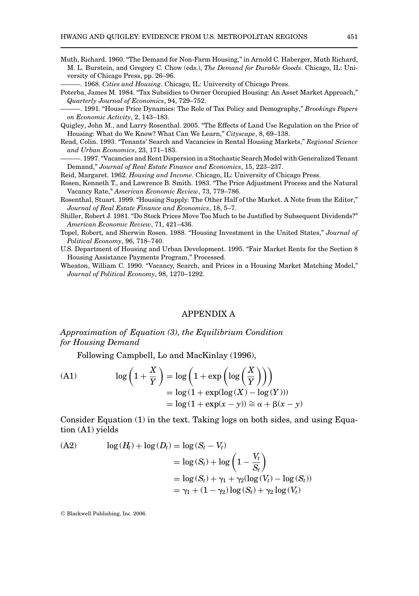Muth, Richard. 1960. "The Demand for Non-Farm Housing," in Arnold C. Haberger, Muth Richard, M. L. Burstein, and Gregory C. Chow (eds.), *The Demand for Durable Goods*. Chicago, IL: University of Chicago Press, pp. 26–96.

———. 1968. *Cities and Housing*. Chicago, IL: University of Chicago Press.

Poterba, James M. 1984. "Tax Subsidies to Owner Occupied Housing: An Asset Market Approach," *Quarterly Journal of Economics*, 94, 729–752.

———. 1991. "House Price Dynamics: The Role of Tax Policy and Demography," *Brookings Papers on Economic Activity*, 2, 143–183.

Quigley, John M., and Larry Rosenthal. 2005. "The Effects of Land Use Regulation on the Price of Housing: What do We Know? What Can We Learn," *Cityscape*, 8, 69–138.

Read, Colin. 1993. "Tenants' Search and Vacancies in Rental Housing Markets," *Regional Science and Urban Economics*, 23, 171–183.

———. 1997. "Vacancies and Rent Dispersion in a Stochastic Search Model with Generalized Tenant Demand," *Journal of Real Estate Finance and Economics*, 15, 223–237.

Reid, Margaret. 1962. *Housing and Income*. Chicago, IL: University of Chicago Press.

- Rosen, Kenneth T., and Lawrence B. Smith. 1983. "The Price Adjustment Process and the Natural Vacancy Rate," *American Economic Review*, 73, 779–786.
- Rosenthal, Stuart. 1999. "Housing Supply: The Other Half of the Market. A Note from the Editor," *Journal of Real Estate Finance and Economics*, 18, 5–7.
- Shiller, Robert J. 1981. "Do Stock Prices Move Too Much to be Justified by Subsequent Dividends?" *American Economic Review*, 71, 421–436.
- Topel, Robert, and Sherwin Rosen. 1988. "Housing Investment in the United States," *Journal of Political Economy*, 96, 718–740.
- U.S. Department of Housing and Urban Development. 1995. "Fair Market Rents for the Section 8 Housing Assistance Payments Program," Processed.
- Wheaton, William C. 1990. "Vacancy, Search, and Prices in a Housing Market Matching Model," *Journal of Political Economy*, 98, 1270–1292.

#### APPENDIX A

*Approximation of Equation (3), the Equilibrium Condition for Housing Demand*

Following Campbell, Lo and MacKinlay (1996),

(A1) 
$$
\log\left(1+\frac{X}{Y}\right) = \log\left(1+\exp\left(\log\left(\frac{X}{Y}\right)\right)\right)
$$

$$
= \log\left(1+\exp(\log(X) - \log(Y))\right)
$$

$$
= \log\left(1+\exp(x-y)\right) \cong \alpha + \beta(x-y)
$$

Consider Equation (1) in the text. Taking logs on both sides, and using Equation (A1) yields

(A2) 
$$
\log(H_t) + \log(D_t) = \log(S_t - V_t)
$$

$$
= \log(S_t) + \log\left(1 - \frac{V_t}{S_t}\right)
$$

$$
= \log(S_t) + \gamma_1 + \gamma_2(\log(V_t) - \log(S_t))
$$

$$
= \gamma_1 + (1 - \gamma_2)\log(S_t) + \gamma_2 \log(V_t)
$$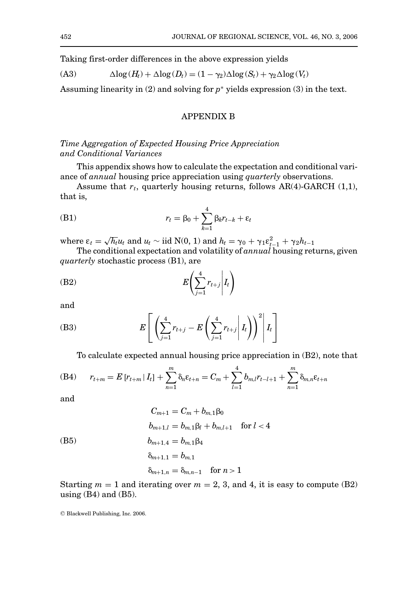Taking first-order differences in the above expression yields

(A3) 
$$
\Delta \log(H_t) + \Delta \log(D_t) = (1 - \gamma_2) \Delta \log(S_t) + \gamma_2 \Delta \log(V_t)
$$

Assuming linearity in (2) and solving for *p*<sup>∗</sup> yields expression (3) in the text.

# APPENDIX B

# *Time Aggregation of Expected Housing Price Appreciation and Conditional Variances*

This appendix shows how to calculate the expectation and conditional variance of *annual* housing price appreciation using *quarterly* observations.

Assume that  $r_t$ , quarterly housing returns, follows AR(4)-GARCH  $(1,1)$ , that is,

(B1) 
$$
r_t = \beta_0 + \sum_{k=1}^4 \beta_k r_{t-k} + \varepsilon_t
$$

where  $\varepsilon_t = \sqrt{h_t} u_t$  and  $u_t \sim \text{iid } \mathcal{N}(0, 1)$  and  $h_t = \gamma_0 + \gamma_1 \varepsilon_{t-1}^2 + \gamma_2 h_{t-1}$ 

The conditional expectation and volatility of *annual* housing returns, given *quarterly* stochastic process (B1), are

$$
(B2) \t\t\t\t\t E\left(\sum_{j=1}^{4}r_{t+j}\middle|I_t\right)
$$

and

(B3) 
$$
E\left[\left(\sum_{j=1}^{4}r_{t+j}-E\left(\sum_{j=1}^{4}r_{t+j}\middle|I_t\right)\right)^2\middle|I_t\right]
$$

To calculate expected annual housing price appreciation in (B2), note that

(B4) 
$$
r_{t+m} = E[r_{t+m} | I_t] + \sum_{n=1}^{m} \delta_n \varepsilon_{t+n} = C_m + \sum_{l=1}^{4} b_{m,l} r_{t-l+1} + \sum_{n=1}^{m} \delta_{m,n} \varepsilon_{t+n}
$$

and

(B5) 
$$
C_{m+1} = C_m + b_{m,1} \beta_0
$$

$$
b_{m+1,l} = b_{m,1} \beta_l + b_{m,l+1} \quad \text{for } l < 4
$$

$$
b_{m+1,4} = b_{m,1} \beta_4
$$

$$
\delta_{m+1,1} = b_{m,1}
$$

$$
\delta_{m+1,n} = \delta_{m,n-1} \quad \text{for } n > 1
$$

Starting  $m = 1$  and iterating over  $m = 2, 3$ , and 4, it is easy to compute (B2) using  $(B4)$  and  $(B5)$ .

<sup>-</sup><sup>C</sup> Blackwell Publishing, Inc. 2006.